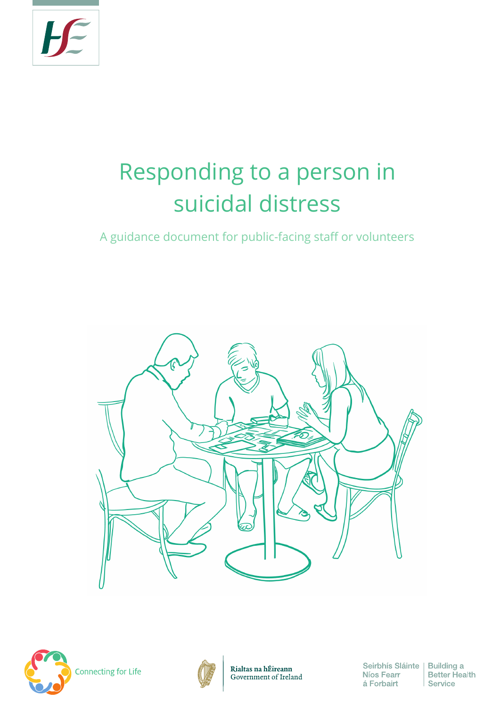

# Responding to a person in suicidal distress

A guidance document for public-facing staff or volunteers





**Connecting for Life** 



Seirbhís Sláinte | Building a Níos Fearr á Forbairt

**Better Health** Service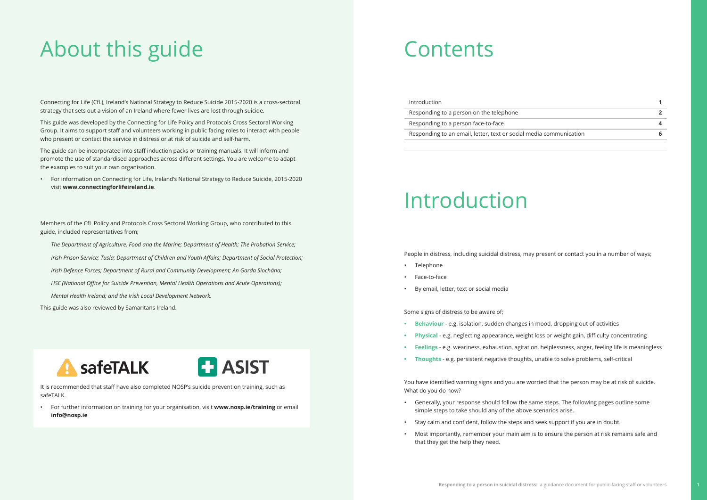# About this guide Contents

Connecting for Life (CfL), Ireland's National Strategy to Reduce Suicide 2015-2020 is a cross-sectoral strategy that sets out a vision of an Ireland where fewer lives are lost through suicide.

This guide was developed by the Connecting for Life Policy and Protocols Cross Sectoral Working Group. It aims to support staff and volunteers working in public facing roles to interact with people who present or contact the service in distress or at risk of suicide and self-harm.

The guide can be incorporated into staff induction packs or training manuals. It will inform and promote the use of standardised approaches across different settings. You are welcome to adapt the examples to suit your own organisation.

• For information on Connecting for Life, Ireland's National Strategy to Reduce Suicide, 2015-2020 visit **www.connectingforlifeireland.ie**.

It is recommended that staff have also completed NOSP's suicide prevention training, such as safeTALK.

• For further information on training for your organisation, visit **www.nosp.ie/training** or email **info@nosp.ie**

Introduction **1**

Responding to a person on the telephone **2**

Responding to a person face-to-face **4**

Responding to an email, letter, text or social med

Members of the CfL Policy and Protocols Cross Sectoral Working Group, who contributed to this guide, included representatives from;

- *The Department of Agriculture, Food and the Marine; Department of Health; The Probation Service;*
- *Irish Prison Service; Tusla; Department of Children and Youth Affairs; Department of Social Protection;*
- *Irish Defence Forces; Department of Rural and Community Development; An Garda Siochána;*
- *HSE (National Office for Suicide Prevention, Mental Health Operations and Acute Operations);*
- *Mental Health Ireland; and the Irish Local Development Network.*

This guide was also reviewed by Samaritans Ireland.





# Introduction

People in distress, including suicidal distress, may present or contact you in a number of ways;

- Telephone
- Face-to-face
- By email, letter, text or social media

Some signs of distress to be aware of;

- **• Behaviour** e.g. isolation, sudden changes in mood, dropping out of activities
- **• Physical** e.g. neglecting appearance, weight loss or weight gain, difficulty concentrating
- **• Feelings** e.g. weariness, exhaustion, agitation, helplessness, anger, feeling life is meaningless
- **• Thoughts** e.g. persistent negative thoughts, unable to solve problems, self-critical

You have identified warning signs and you are worried that the person may be at risk of suicide. What do you do now?

- Generally, your response should follow the same steps. The following pages outline some simple steps to take should any of the above scenarios arise.
- Stay calm and confident, follow the steps and seek support if you are in doubt.
- Most importantly, remember your main aim is to ensure the person at risk remains safe and that they get the help they need.

| dia communication |  |
|-------------------|--|
|                   |  |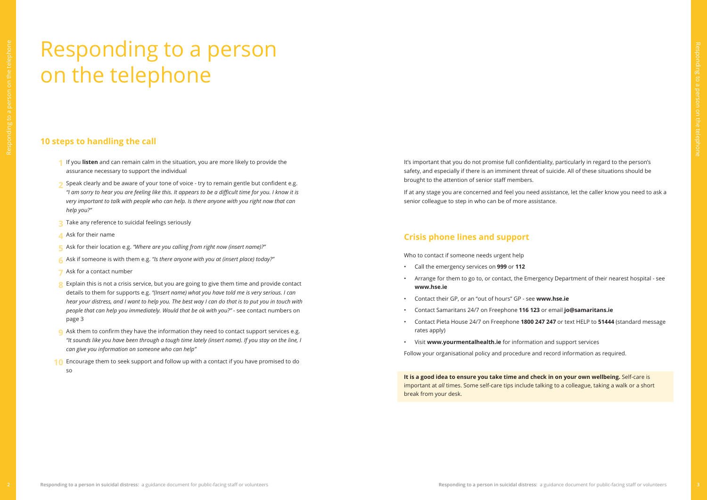# Responding to a person on the telephone

# **10 steps to handling the call**

- If you **listen** and can remain calm in the situation, you are more likely to provide the **1** assurance necessary to support the individual
- Speak clearly and be aware of your tone of voice try to remain gentle but confident e.g. **2** *"I am sorry to hear you are feeling like this. It appears to be a difficult time for you. I know it is very important to talk with people who can help. Is there anyone with you right now that can help you?"*
- Take any reference to suicidal feelings seriously **3**
- Ask for their name **4**
- Ask for their location e.g. *"Where are you calling from right now (insert name)?"*  **5**
- Ask if someone is with them e.g. *"Is there anyone with you at (insert place) today?"* **6**
- Ask for a contact number **7**
- Explain this is not a crisis service, but you are going to give them time and provide contact **8** details to them for supports e.g. *"(Insert name) what you have told me is very serious. I can hear your distress, and I want to help you. The best way I can do that is to put you in touch with people that can help you immediately. Would that be ok with you?"* - see contact numbers on page 3
- Ask them to confirm they have the information they need to contact support services e.g. **9** *"It sounds like you have been through a tough time lately (insert name). If you stay on the line, I can give you information on someone who can help"*
- Encourage them to seek support and follow up with a contact if you have promised to do **10**so

It's important that you do not promise full confidentiality, particularly in regard to the person's safety, and especially if there is an imminent threat of suicide. All of these situations should be brought to the attention of senior staff members.

If at any stage you are concerned and feel you need assistance, let the caller know you need to ask a senior colleague to step in who can be of more assistance.

# **Crisis phone lines and support**

Who to contact if someone needs urgent help

• Arrange for them to go to, or contact, the Emergency Department of their nearest hospital - see

- Call the emergency services on **999** or **112**
- **www.hse.ie**
- Contact their GP, or an "out of hours" GP see **www.hse.ie**
- Contact Samaritans 24/7 on Freephone **116 123** or email **jo@samaritans.ie**
- Contact Pieta House 24/7 on Freephone **1800 247 247** or text HELP to **51444** (standard message rates apply)
- Visit **www.yourmentalhealth.ie** for information and support services

Follow your organisational policy and procedure and record information as required.

**It is a good idea to ensure you take time and check in on your own wellbeing.** Self-care is important at *all* times. Some self-care tips include talking to a colleague, taking a walk or a short break from your desk.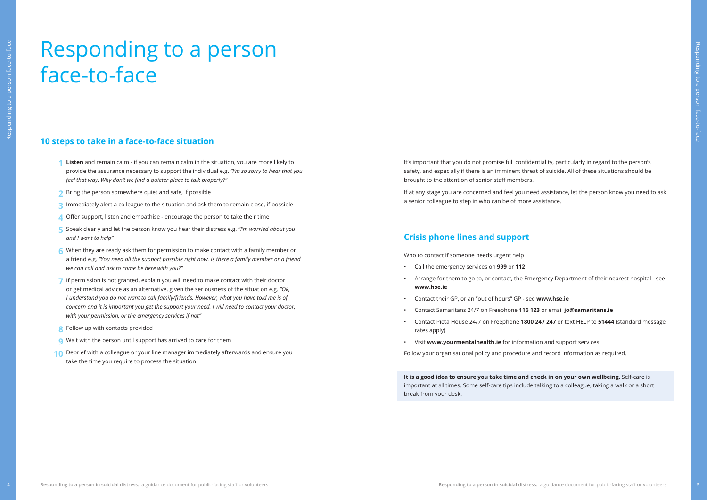# Responding to a person<br>
face-to-face<br>
suspensive decisions<br>
suspensive decisions<br>
suspensive decisions<br>
suspensive decisions<br>
suspensive decisions<br>
suspensive decisions<br>
suspensive decisions<br>
suspensive decisions<br>
suspensi Responding to a person face-to-face

# **10 steps to take in a face-to-face situation**

- **Listen** and remain calm if you can remain calm in the situation, you are more likely to **1** provide the assurance necessary to support the individual e.g. *"I'm so sorry to hear that you feel that way. Why don't we find a quieter place to talk properly?"*
- Bring the person somewhere quiet and safe, if possible **2**
- Immediately alert a colleague to the situation and ask them to remain close, if possible **3**
- Offer support, listen and empathise encourage the person to take their time **4**
- Speak clearly and let the person know you hear their distress e.g. *"I'm worried about you*  **5** *and I want to help"*
- When they are ready ask them for permission to make contact with a family member or **6** a friend e.g. *"You need all the support possible right now. Is there a family member or a friend we can call and ask to come be here with you?"*
- If permission is not granted, explain you will need to make contact with their doctor **7** or get medical advice as an alternative, given the seriousness of the situation e.g. *"Ok, I understand you do not want to call family/friends. However, what you have told me is of concern and it is important you get the support your need. I will need to contact your doctor, with your permission, or the emergency services if not"*
- Follow up with contacts provided **8**
- Wait with the person until support has arrived to care for them **9**
- Debrief with a colleague or your line manager immediately afterwards and ensure you **10**take the time you require to process the situation

It's important that you do not promise full confidentiality, particularly in regard to the person's safety, and especially if there is an imminent threat of suicide. All of these situations should be brought to the attention of senior staff members.

If at any stage you are concerned and feel you need assistance, let the person know you need to ask a senior colleague to step in who can be of more assistance.

# **Crisis phone lines and support**

Who to contact if someone needs urgent help

• Arrange for them to go to, or contact, the Emergency Department of their nearest hospital - see

- Call the emergency services on **999** or **112**
- **www.hse.ie**
- Contact their GP, or an "out of hours" GP see **www.hse.ie**
- Contact Samaritans 24/7 on Freephone **116 123** or email **jo@samaritans.ie**
- rates apply)
- Visit **www.yourmentalhealth.ie** for information and support services

• Contact Pieta House 24/7 on Freephone **1800 247 247** or text HELP to **51444** (standard message

Follow your organisational policy and procedure and record information as required.

**It is a good idea to ensure you take time and check in on your own wellbeing.** Self-care is important at all times. Some self-care tips include talking to a colleague, taking a walk or a short break from your desk.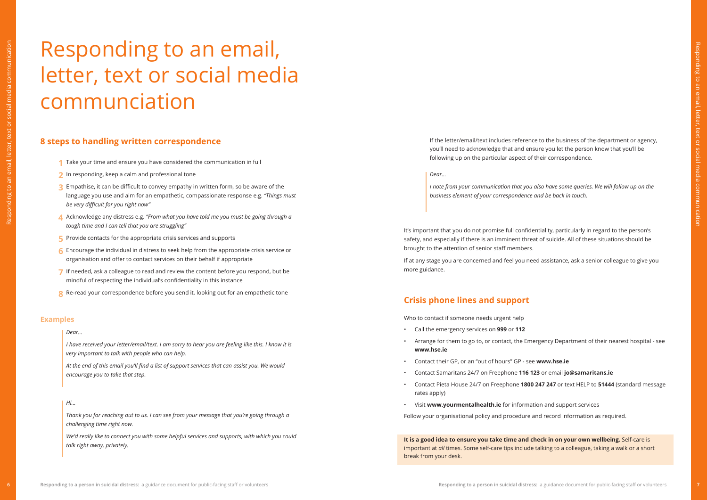# Responding to an email, letter, text or social media communciation

# **8 steps to handling written correspondence**

- 1 Take your time and ensure you have considered the communication in full
- **2** In responding, keep a calm and professional tone
- **EXECUTE:** Empathise, it can be difficult to convey empathy in written form, so be aware of the language you use and aim for an empathetic, compassionate response e.g. *"Things must be very difficult for you right now"*  **12354678**
- Acknowledge any distress e.g. *"From what you have told me you must be going through a tough time and I can tell that you are struggling"*
- $\blacksquare$  Provide contacts for the appropriate crisis services and supports
- Encourage the individual in distress to seek help from the appropriate crisis service or organisation and offer to contact services on their behalf if appropriate
- $\overline{J}$  If needed, ask a colleague to read and review the content before you respond, but be mindful of respecting the individual's confidentiality in this instance
- Re-read your correspondence before you send it, looking out for an empathetic tone

It's important that you do not promise full confidentiality, particularly in regard to the person's safety, and especially if there is an imminent threat of suicide. All of these situations should be brought to the attention of senior staff members.

If at any stage you are concerned and feel you need assistance, ask a senior colleague to give you more guidance.

# **Crisis phone lines and support**

Who to contact if someone needs urgent help

• Arrange for them to go to, or contact, the Emergency Department of their nearest hospital - see

- Call the emergency services on **999** or **112**
- **www.hse.ie**
- Contact their GP, or an "out of hours" GP see **www.hse.ie**
- Contact Samaritans 24/7 on Freephone **116 123** or email **jo@samaritans.ie**
- Contact Pieta House 24/7 on Freephone **1800 247 247** or text HELP to **51444** (standard message rates apply)
- Visit **www.yourmentalhealth.ie** for information and support services
- Follow your organisational policy and procedure and record information as required.

**It is a good idea to ensure you take time and check in on your own wellbeing.** Self-care is important at *all* times. Some self-care tips include talking to a colleague, taking a walk or a short break from your desk.

## *Dear…*

*I have received your letter/email/text. I am sorry to hear you are feeling like this. I know it is very important to talk with people who can help.* 

*At the end of this email you'll find a list of support services that can assist you. We would encourage you to take that step.* 

*Dear…* 

*I note from your communication that you also have some queries. We will follow up on the business element of your correspondence and be back in touch.* 

If the letter/email/text includes reference to the business of the department or agency, you'll need to acknowledge that and ensure you let the person know that you'll be following up on the particular aspect of their correspondence.

## **Examples**

## *Hi...*

*Thank you for reaching out to us. I can see from your message that you're going through a challenging time right now.*

*We'd really like to connect you with some helpful services and supports, with which you could talk right away, privately.*